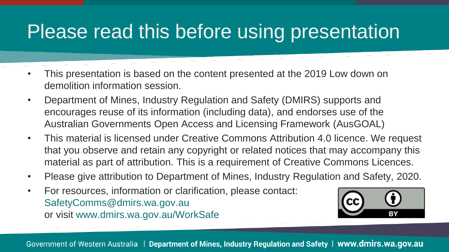## Please read this before using presentation

- This presentation is based on the content presented at the 2019 Low down on demolition information session.
- Department of Mines, Industry Regulation and Safety (DMIRS) supports and encourages reuse of its information (including data), and endorses use of the Australian Governments Open Access and Licensing Framework (AusGOAL)
- This material is licensed under Creative Commons Attribution 4.0 licence. We request that you observe and retain any copyright or related notices that may accompany this material as part of attribution. This is a requirement of Creative Commons Licences.
- Please give attribution to Department of Mines, Industry Regulation and Safety, 2020.
- For resources, information or clarification, please contact: SafetyComms@dmirs.wa.gov.au or visit www.dmirs.wa.gov.au/WorkSafe

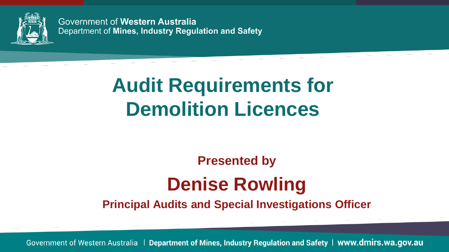

Government of Western Australia Department of Mines, Industry Regulation and Safety

# **Audit Requirements for Demolition Licences**

#### **Presented by Denise Rowling**

**Principal Audits and Special Investigations Officer**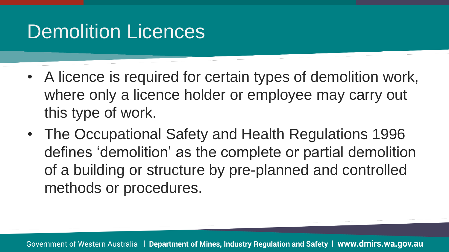- A licence is required for certain types of demolition work, where only a licence holder or employee may carry out this type of work.
- The Occupational Safety and Health Regulations 1996 defines 'demolition' as the complete or partial demolition of a building or structure by pre-planned and controlled methods or procedures.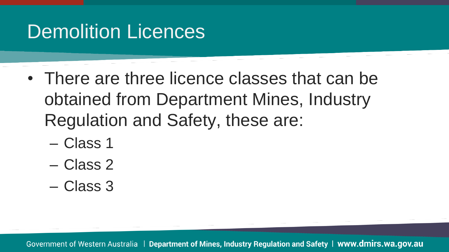- There are three licence classes that can be obtained from Department Mines, Industry Regulation and Safety, these are:
	- Class 1
	- Class 2
	- Class 3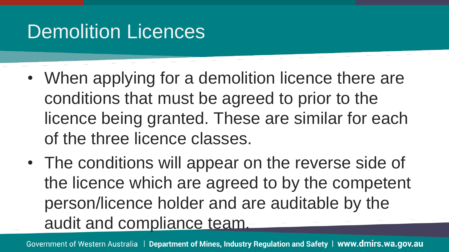- When applying for a demolition licence there are conditions that must be agreed to prior to the licence being granted. These are similar for each of the three licence classes.
- The conditions will appear on the reverse side of the licence which are agreed to by the competent person/licence holder and are auditable by the audit and compliance team.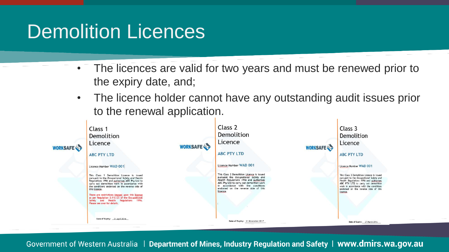- The licences are valid for two years and must be renewed prior to the expiry date, and;
- The licence holder cannot have any outstanding audit issues prior to the renewal application.

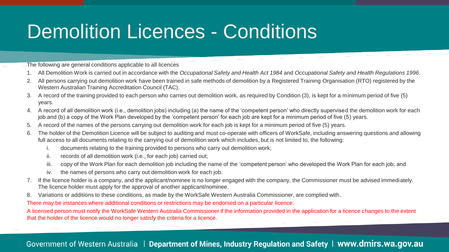## Demolition Licences - Conditions

The following are general conditions applicable to all licences

- 1. All Demolition Work is carried out in accordance with the *Occupational Safety and Health Act 1984* and *Occupational Safety and Health Regulations 1996*.
- 2. All persons carrying out demolition work have been trained in safe methods of demolition by a Registered Training Organisation (RTO) registered by the Western Australian Training Accreditation Council (TAC).
- 3. A record of the training provided to each person who carries out demolition work, as required by Condition (3), is kept for a minimum period of five (5) years.
- 4. A record of all demolition work (i.e., demolition jobs) including (a) the name of the 'competent person' who directly supervised the demolition work for each job and (b) a copy of the Work Plan developed by the 'competent person' for each job are kept for a minimum period of five (5) years.
- 5. A record of the names of the persons carrying out demolition work for each job is kept for a minimum period of five (5) years.
- 6. The holder of the Demolition Licence will be subject to auditing and must co-operate with officers of WorkSafe, including answering questions and allowing full access to all documents relating to the carrying out of demolition work which includes, but is not limited to, the following:
	- i. documents relating to the training provided to persons who carry out demolition work;
	- ii. records of all demolition work (i.e., for each job) carried out;
	- iii. copy of the Work Plan for each demolition job including the name of the 'competent person' who developed the Work Plan for each job; and
	- iv. the names of persons who carry out demolition work for each job.
- 7. If the licence holder is a company, and the applicant/nominee is no longer engaged with the company, the Commissioner must be advised immediately. The licence holder must apply for the approval of another applicant/nominee.
- 8. Variations or additions to these conditions, as made by the WorkSafe Western Australia Commissioner, are complied with.

There may be instances where additional conditions or restrictions may be endorsed on a particular licence.

A licensed person must notify the WorkSafe Western Australia Commissioner if the information provided in the application for a licence changes to the extent that the holder of the licence would no longer satisfy the criteria for a licence.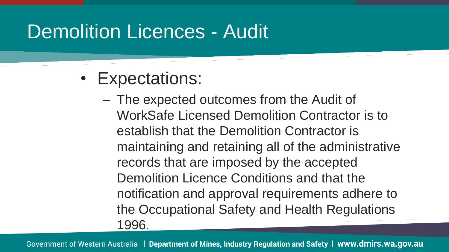#### Demolition Licences - Audit

- Expectations:
	- The expected outcomes from the Audit of WorkSafe Licensed Demolition Contractor is to establish that the Demolition Contractor is maintaining and retaining all of the administrative records that are imposed by the accepted Demolition Licence Conditions and that the notification and approval requirements adhere to the Occupational Safety and Health Regulations 1996.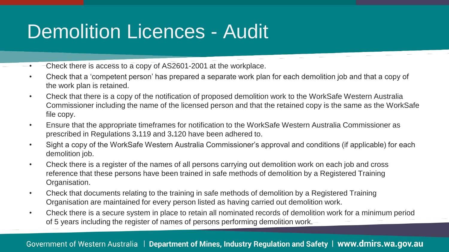## Demolition Licences - Audit

- Check there is access to a copy of AS2601-2001 at the workplace.
- Check that a 'competent person' has prepared a separate work plan for each demolition job and that a copy of the work plan is retained.
- Check that there is a copy of the notification of proposed demolition work to the WorkSafe Western Australia Commissioner including the name of the licensed person and that the retained copy is the same as the WorkSafe file copy.
- Ensure that the appropriate timeframes for notification to the WorkSafe Western Australia Commissioner as prescribed in Regulations 3**.**119 and 3**.**120 have been adhered to.
- Sight a copy of the WorkSafe Western Australia Commissioner's approval and conditions (if applicable) for each demolition job.
- Check there is a register of the names of all persons carrying out demolition work on each job and cross reference that these persons have been trained in safe methods of demolition by a Registered Training Organisation.
- Check that documents relating to the training in safe methods of demolition by a Registered Training Organisation are maintained for every person listed as having carried out demolition work.
- Check there is a secure system in place to retain all nominated records of demolition work for a minimum period of 5 years including the register of names of persons performing demolition work.